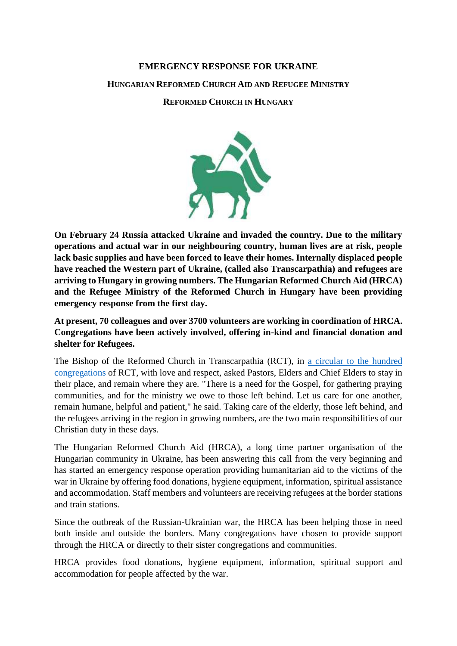# **EMERGENCY RESPONSE FOR UKRAINE HUNGARIAN REFORMED CHURCH AID AND REFUGEE MINISTRY REFORMED CHURCH IN HUNGARY**

 $\frac{1}{\sqrt{2}}$ 

**On February 24 Russia attacked Ukraine and invaded the country. Due to the military operations and actual war in our neighbouring country, human lives are at risk, people lack basic supplies and have been forced to leave their homes. Internally displaced people have reached the Western part of Ukraine, (called also Transcarpathia) and refugees are arriving to Hungary in growing numbers. The Hungarian Reformed Church Aid (HRCA) and the Refugee Ministry of the Reformed Church in Hungary have been providing emergency response from the first day.**

**At present, 70 colleagues and over 3700 volunteers are working in coordination of HRCA. Congregations have been actively involved, offering in-kind and financial donation and shelter for Refugees.**

The Bishop of the Reformed Church in Transcarpathia (RCT), in [a circular to the](https://reformatus.hu/english/news/circular-in-times-of-war-stay-where-you-are/) hundred [congregations](https://reformatus.hu/english/news/circular-in-times-of-war-stay-where-you-are/) of RCT, with love and respect, asked Pastors, Elders and Chief Elders to stay in their place, and remain where they are. "There is a need for the Gospel, for gathering praying communities, and for the ministry we owe to those left behind. Let us care for one another, remain humane, helpful and patient," he said. Taking care of the elderly, those left behind, and the refugees arriving in the region in growing numbers, are the two main responsibilities of our Christian duty in these days.

The Hungarian Reformed Church Aid (HRCA), a long time partner organisation of the Hungarian community in Ukraine, has been answering this call from the very beginning and has started an emergency response operation providing humanitarian aid to the victims of the war in Ukraine by offering food donations, hygiene equipment, information, spiritual assistance and accommodation. Staff members and volunteers are receiving refugees at the border stations and train stations.

Since the outbreak of the Russian-Ukrainian war, the HRCA has been helping those in need both inside and outside the borders. Many congregations have chosen to provide support through the HRCA or directly to their sister congregations and communities.

HRCA provides food donations, hygiene equipment, information, spiritual support and accommodation for people affected by the war.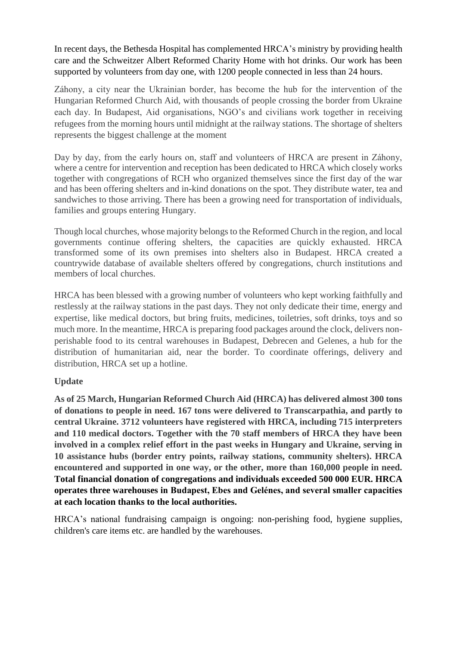In recent days, the Bethesda Hospital has complemented HRCA's ministry by providing health care and the Schweitzer Albert Reformed Charity Home with hot drinks. Our work has been supported by volunteers from day one, with 1200 people connected in less than 24 hours.

Záhony, a city near the Ukrainian border, has become the hub for the intervention of the Hungarian Reformed Church Aid, with thousands of people crossing the border from Ukraine each day. In Budapest, Aid organisations, NGO's and civilians work together in receiving refugees from the morning hours until midnight at the railway stations. The shortage of shelters represents the biggest challenge at the moment

Day by day, from the early hours on, staff and volunteers of HRCA are present in Záhony, where a centre for intervention and reception has been dedicated to HRCA which closely works together with congregations of RCH who organized themselves since the first day of the war and has been offering shelters and in-kind donations on the spot. They distribute water, tea and sandwiches to those arriving. There has been a growing need for transportation of individuals, families and groups entering Hungary.

Though local churches, whose majority belongs to the Reformed Church in the region, and local governments continue offering shelters, the capacities are quickly exhausted. HRCA transformed some of its own premises into shelters also in Budapest. HRCA created a countrywide database of available shelters offered by congregations, church institutions and members of local churches.

HRCA has been blessed with a growing number of volunteers who kept working faithfully and restlessly at the railway stations in the past days. They not only dedicate their time, energy and expertise, like medical doctors, but bring fruits, medicines, toiletries, soft drinks, toys and so much more. In the meantime, HRCA is preparing food packages around the clock, delivers nonperishable food to its central warehouses in Budapest, Debrecen and Gelenes, a hub for the distribution of humanitarian aid, near the border. To coordinate offerings, delivery and distribution, HRCA set up a hotline.

## **Update**

**As of 25 March, Hungarian Reformed Church Aid (HRCA) has delivered almost 300 tons of donations to people in need. 167 tons were delivered to Transcarpathia, and partly to central Ukraine. 3712 volunteers have registered with HRCA, including 715 interpreters and 110 medical doctors. Together with the 70 staff members of HRCA they have been involved in a complex relief effort in the past weeks in Hungary and Ukraine, serving in 10 assistance hubs (border entry points, railway stations, community shelters). HRCA encountered and supported in one way, or the other, more than 160,000 people in need. Total financial donation of congregations and individuals exceeded 500 000 EUR. HRCA operates three warehouses in Budapest, Ebes and Gelénes, and several smaller capacities at each location thanks to the local authorities.**

HRCA's national fundraising campaign is ongoing: non-perishing food, hygiene supplies, children's care items etc. are handled by the warehouses.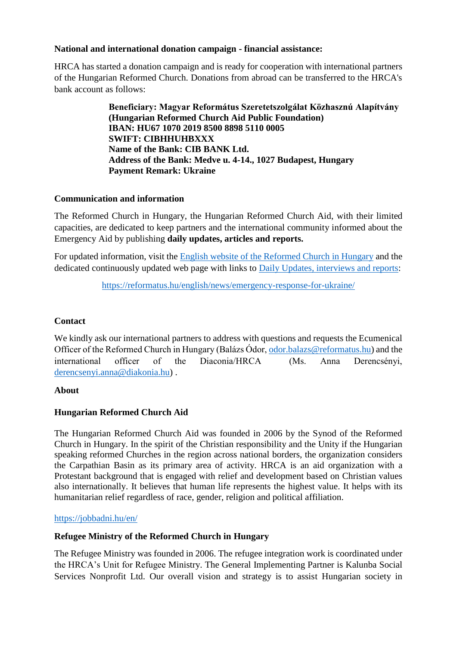### **National and international donation campaign - financial assistance:**

HRCA has started a donation campaign and is ready for cooperation with international partners of the Hungarian Reformed Church. Donations from abroad can be transferred to the HRCA's bank account as follows:

> **Beneficiary: Magyar Református Szeretetszolgálat Közhasznú Alapítvány (Hungarian Reformed Church Aid Public Foundation) IBAN: HU67 1070 2019 8500 8898 5110 0005 SWIFT: CIBHHUHBXXX Name of the Bank: CIB BANK Ltd. Address of the Bank: Medve u. 4-14., 1027 Budapest, Hungary Payment Remark: Ukraine**

### **Communication and information**

The Reformed Church in Hungary, the Hungarian Reformed Church Aid, with their limited capacities, are dedicated to keep partners and the international community informed about the Emergency Aid by publishing **daily updates, articles and reports.**

For updated information, visit the [English website of the Reformed Church in Hungary](https://reformatus.hu/keres/?t=relief) and the dedicated continuously updated web page with links to [Daily Updates, interviews and reports:](https://reformatus.hu/keres/?t=relief)

<https://reformatus.hu/english/news/emergency-response-for-ukraine/>

### **Contact**

We kindly ask our international partners to address with questions and requests the Ecumenical Officer of the Reformed Church in Hungary (Balázs Ódor, [odor.balazs@reformatus.hu\)](mailto:odor.balazs@reformatus.hu) and the international officer of the Diaconia/HRCA (Ms. Anna Derencsényi, [derencsenyi.anna@diakonia.hu\)](mailto:derencsenyi.anna@diakonia.hu) .

### **About**

### **Hungarian Reformed Church Aid**

The Hungarian Reformed Church Aid was founded in 2006 by the Synod of the Reformed Church in Hungary. In the spirit of the Christian responsibility and the Unity if the Hungarian speaking reformed Churches in the region across national borders, the organization considers the Carpathian Basin as its primary area of activity. HRCA is an aid organization with a Protestant background that is engaged with relief and development based on Christian values also internationally. It believes that human life represents the highest value. It helps with its humanitarian relief regardless of race, gender, religion and political affiliation.

#### <https://jobbadni.hu/en/>

### **Refugee Ministry of the Reformed Church in Hungary**

The Refugee Ministry was founded in 2006. The refugee integration work is coordinated under the HRCA's Unit for Refugee Ministry. The General Implementing Partner is Kalunba Social Services Nonprofit Ltd. Our overall vision and strategy is to assist Hungarian society in